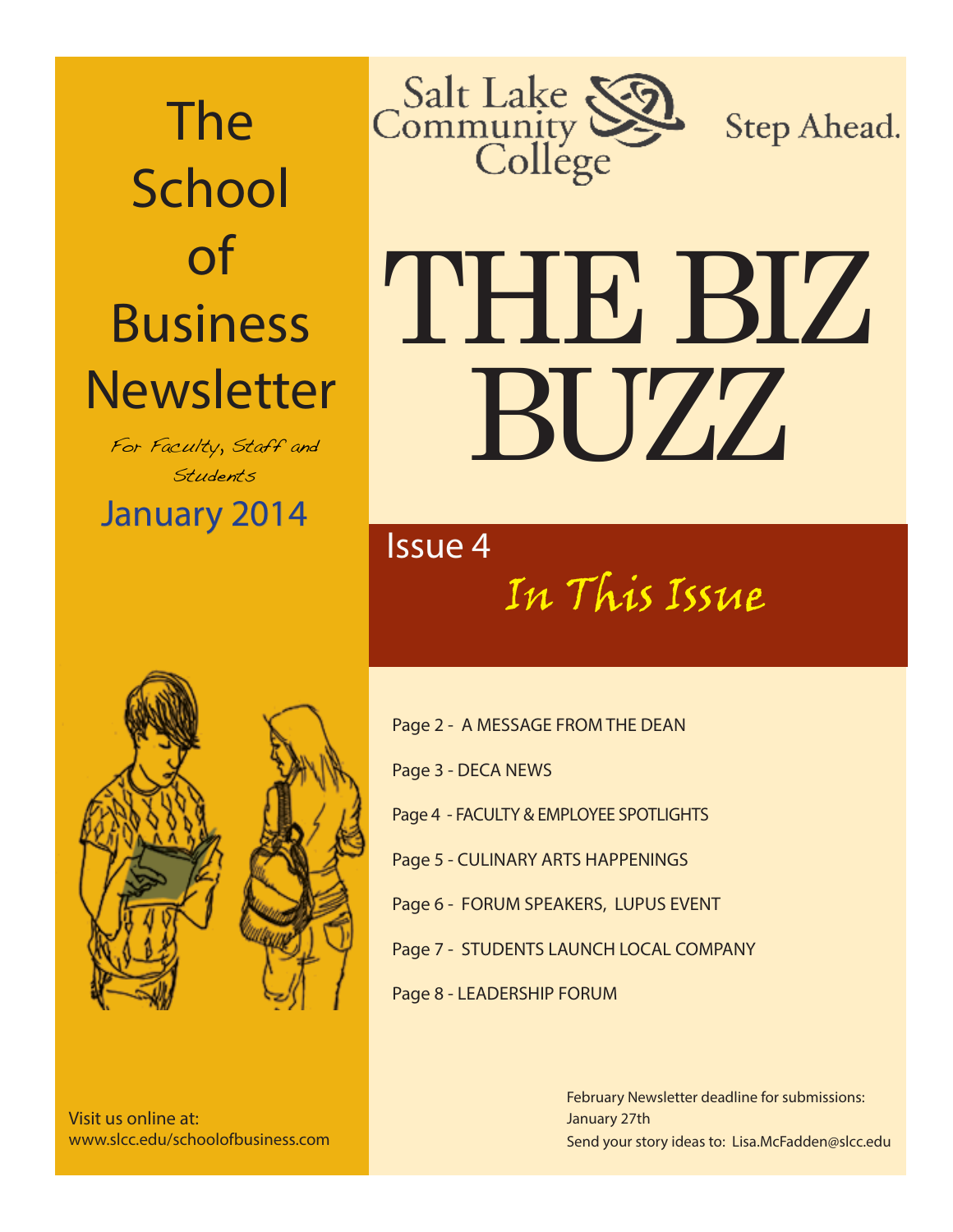The **School** of Business **Newsletter** 

January 2014 For Faculty, Staff and Students



Step Ahead.

# THE BIZ BUZZ

In This Issue Issue 4



Visit us online at: www.slcc.edu/schoolofbusiness.com

Page 2 - A MESSAGE FROM THE DEAN Page 3 - DECA NEWS Page 4 - FACULTY & EMPLOYEE SPOTLIGHTS Page 5 - CULINARY ARTS HAPPENINGS Page 6 - FORUM SPEAKERS, LUPUS EVENT Page 7 - STUDENTS LAUNCH LOCAL COMPANY Page 8 - LEADERSHIP FORUM

> Send your story ideas to: Lisa.McFadden@slcc.edu February Newsletter deadline for submissions: January 27th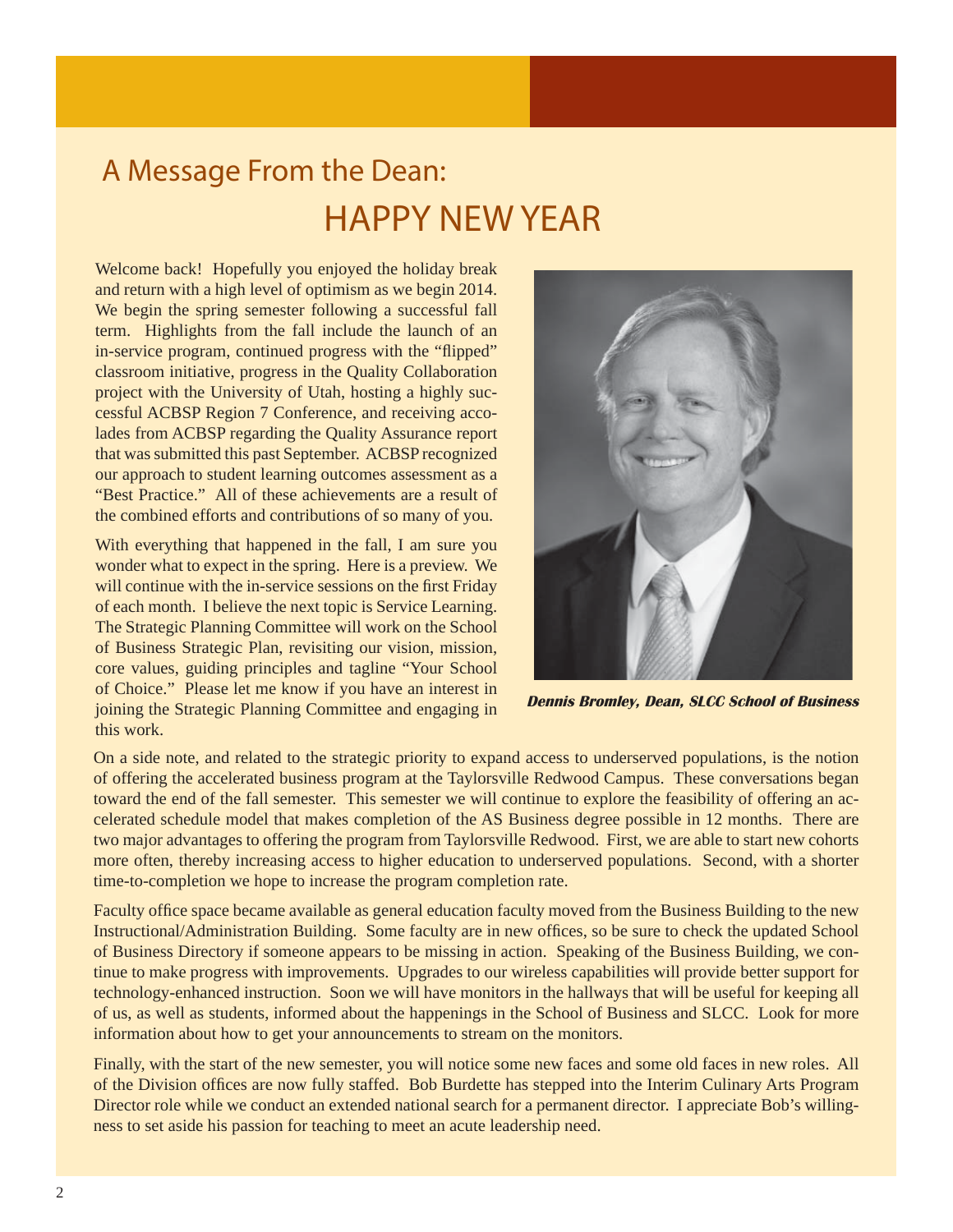## A Message From the Dean: HAPPY NEW YEAR

Welcome back! Hopefully you enjoyed the holiday break and return with a high level of optimism as we begin 2014. We begin the spring semester following a successful fall term. Highlights from the fall include the launch of an in-service program, continued progress with the "flipped" classroom initiative, progress in the Quality Collaboration project with the University of Utah, hosting a highly successful ACBSP Region 7 Conference, and receiving accolades from ACBSP regarding the Quality Assurance report that was submitted this past September. ACBSP recognized our approach to student learning outcomes assessment as a "Best Practice." All of these achievements are a result of the combined efforts and contributions of so many of you.

With everything that happened in the fall, I am sure you wonder what to expect in the spring. Here is a preview. We will continue with the in-service sessions on the first Friday of each month. I believe the next topic is Service Learning. The Strategic Planning Committee will work on the School of Business Strategic Plan, revisiting our vision, mission, core values, guiding principles and tagline "Your School of Choice." Please let me know if you have an interest in joining the Strategic Planning Committee and engaging in this work.



 **Dennis Bromley, Dean, SLCC School of Business**

On a side note, and related to the strategic priority to expand access to underserved populations, is the notion of offering the accelerated business program at the Taylorsville Redwood Campus. These conversations began toward the end of the fall semester. This semester we will continue to explore the feasibility of offering an accelerated schedule model that makes completion of the AS Business degree possible in 12 months. There are two major advantages to offering the program from Taylorsville Redwood. First, we are able to start new cohorts more often, thereby increasing access to higher education to underserved populations. Second, with a shorter time-to-completion we hope to increase the program completion rate.

Faculty office space became available as general education faculty moved from the Business Building to the new Instructional/Administration Building. Some faculty are in new offices, so be sure to check the updated School of Business Directory if someone appears to be missing in action. Speaking of the Business Building, we continue to make progress with improvements. Upgrades to our wireless capabilities will provide better support for technology-enhanced instruction. Soon we will have monitors in the hallways that will be useful for keeping all of us, as well as students, informed about the happenings in the School of Business and SLCC. Look for more information about how to get your announcements to stream on the monitors.

Finally, with the start of the new semester, you will notice some new faces and some old faces in new roles. All of the Division offices are now fully staffed. Bob Burdette has stepped into the Interim Culinary Arts Program Director role while we conduct an extended national search for a permanent director. I appreciate Bob's willingness to set aside his passion for teaching to meet an acute leadership need.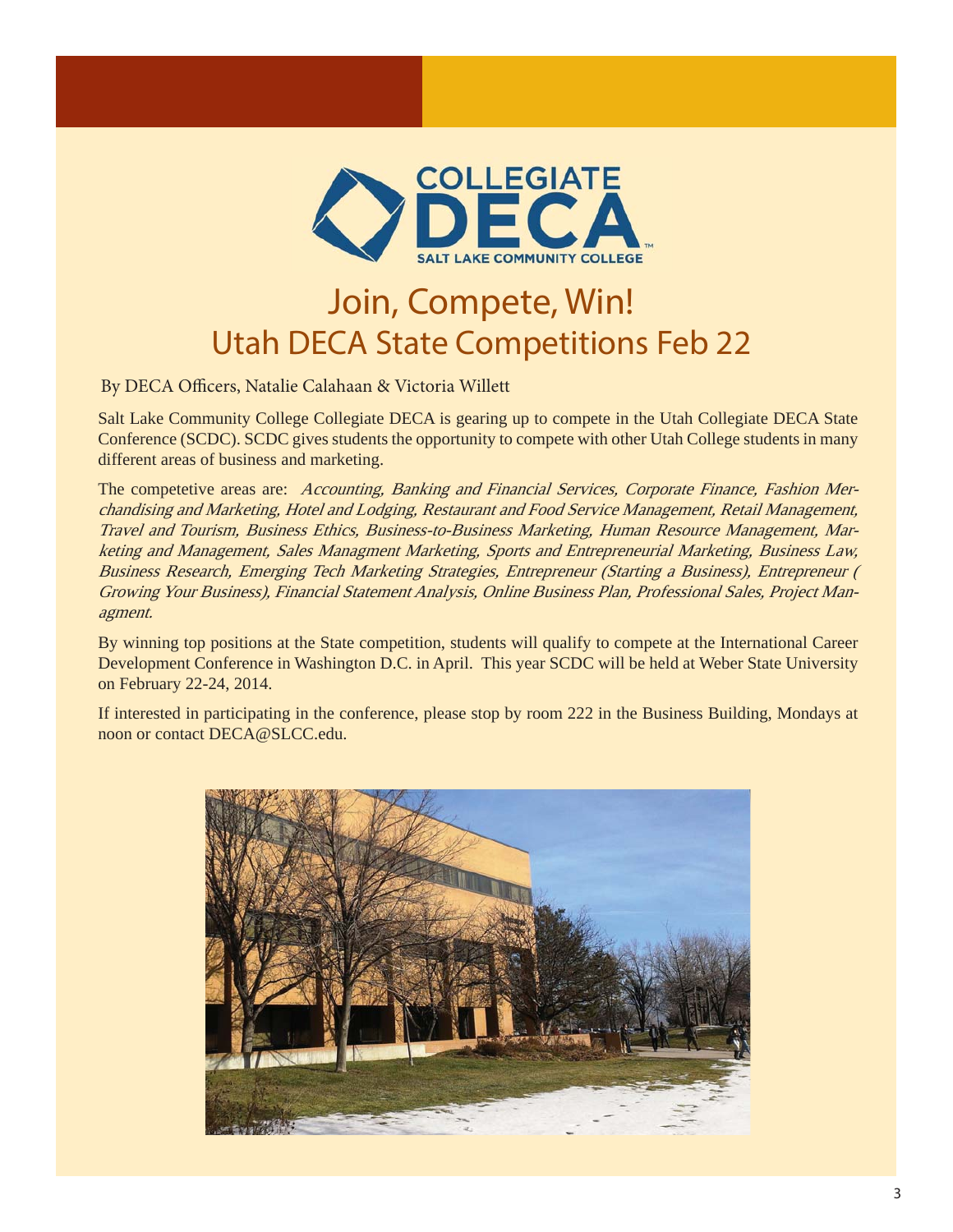

#### Utah DECA State Competitions Feb 22 Join, Compete, Win!

By DECA Officers, Natalie Calahaan & Victoria Willett

Salt Lake Community College Collegiate DECA is gearing up to compete in the Utah Collegiate DECA State Conference (SCDC). SCDC gives students the opportunity to compete with other Utah College students in many different areas of business and marketing.

The competetive areas are: Accounting, Banking and Financial Services, Corporate Finance, Fashion Merchandising and Marketing, Hotel and Lodging, Restaurant and Food Service Management, Retail Management, Travel and Tourism, Business Ethics, Business-to-Business Marketing, Human Resource Management, Marketing and Management, Sales Managment Marketing, Sports and Entrepreneurial Marketing, Business Law, Business Research, Emerging Tech Marketing Strategies, Entrepreneur (Starting a Business), Entrepreneur ( Growing Your Business), Financial Statement Analysis, Online Business Plan, Professional Sales, Project Managment.

By winning top positions at the State competition, students will qualify to compete at the International Career Development Conference in Washington D.C. in April. This year SCDC will be held at Weber State University on February 22-24, 2014.

If interested in participating in the conference, please stop by room 222 in the Business Building, Mondays at noon or contact DECA@SLCC.edu.

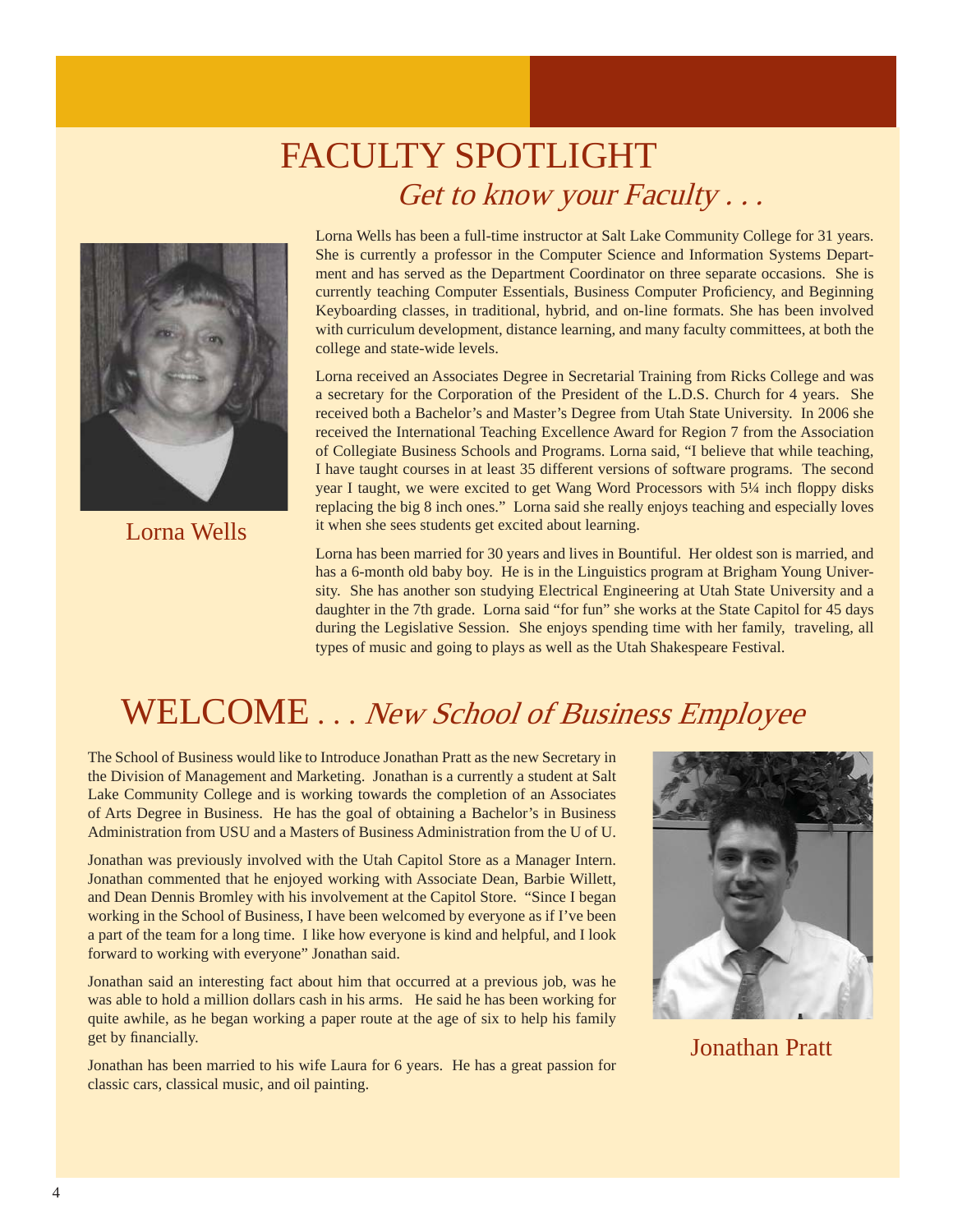#### FACULTY SPOTLIGHT Get to know your Faculty . . .



Lorna Wells

Lorna Wells has been a full-time instructor at Salt Lake Community College for 31 years. She is currently a professor in the Computer Science and Information Systems Department and has served as the Department Coordinator on three separate occasions. She is currently teaching Computer Essentials, Business Computer Proficiency, and Beginning Keyboarding classes, in traditional, hybrid, and on-line formats. She has been involved with curriculum development, distance learning, and many faculty committees, at both the college and state-wide levels.

Lorna received an Associates Degree in Secretarial Training from Ricks College and was a secretary for the Corporation of the President of the L.D.S. Church for 4 years. She received both a Bachelor's and Master's Degree from Utah State University. In 2006 she received the International Teaching Excellence Award for Region 7 from the Association of Collegiate Business Schools and Programs. Lorna said, "I believe that while teaching, I have taught courses in at least 35 different versions of software programs. The second year I taught, we were excited to get Wang Word Processors with 5¼ inch floppy disks replacing the big 8 inch ones." Lorna said she really enjoys teaching and especially loves it when she sees students get excited about learning.

Lorna has been married for 30 years and lives in Bountiful. Her oldest son is married, and has a 6-month old baby boy. He is in the Linguistics program at Brigham Young University. She has another son studying Electrical Engineering at Utah State University and a daughter in the 7th grade. Lorna said "for fun" she works at the State Capitol for 45 days during the Legislative Session. She enjoys spending time with her family, traveling, all types of music and going to plays as well as the Utah Shakespeare Festival.

## WELCOME . . . New School of Business Employee

The School of Business would like to Introduce Jonathan Pratt as the new Secretary in the Division of Management and Marketing. Jonathan is a currently a student at Salt Lake Community College and is working towards the completion of an Associates of Arts Degree in Business. He has the goal of obtaining a Bachelor's in Business Administration from USU and a Masters of Business Administration from the U of U.

Jonathan was previously involved with the Utah Capitol Store as a Manager Intern. Jonathan commented that he enjoyed working with Associate Dean, Barbie Willett, and Dean Dennis Bromley with his involvement at the Capitol Store. "Since I began working in the School of Business, I have been welcomed by everyone as if I've been a part of the team for a long time. I like how everyone is kind and helpful, and I look forward to working with everyone" Jonathan said.

Jonathan said an interesting fact about him that occurred at a previous job, was he was able to hold a million dollars cash in his arms. He said he has been working for quite awhile, as he began working a paper route at the age of six to help his family get by financially.

Jonathan has been married to his wife Laura for 6 years. He has a great passion for classic cars, classical music, and oil painting.



Jonathan Pratt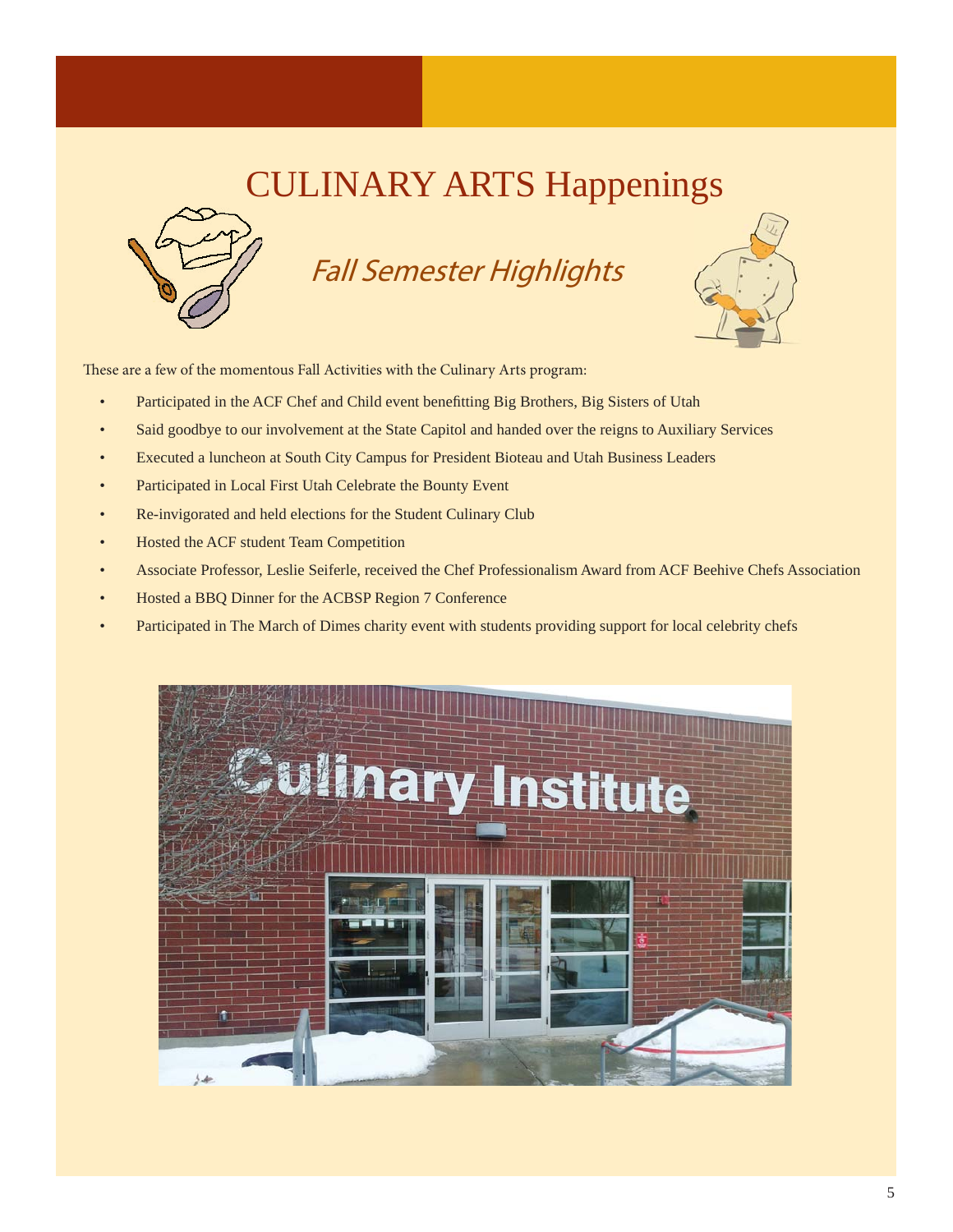## CULINARY ARTS Happenings



#### Fall Semester Highlights



These are a few of the momentous Fall Activities with the Culinary Arts program:

- Participated in the ACF Chef and Child event benefitting Big Brothers, Big Sisters of Utah
- Said goodbye to our involvement at the State Capitol and handed over the reigns to Auxiliary Services
- Executed a luncheon at South City Campus for President Bioteau and Utah Business Leaders
- Participated in Local First Utah Celebrate the Bounty Event
- Re-invigorated and held elections for the Student Culinary Club
- Hosted the ACF student Team Competition
- Associate Professor, Leslie Seiferle, received the Chef Professionalism Award from ACF Beehive Chefs Association
- Hosted a BBQ Dinner for the ACBSP Region 7 Conference
- Participated in The March of Dimes charity event with students providing support for local celebrity chefs

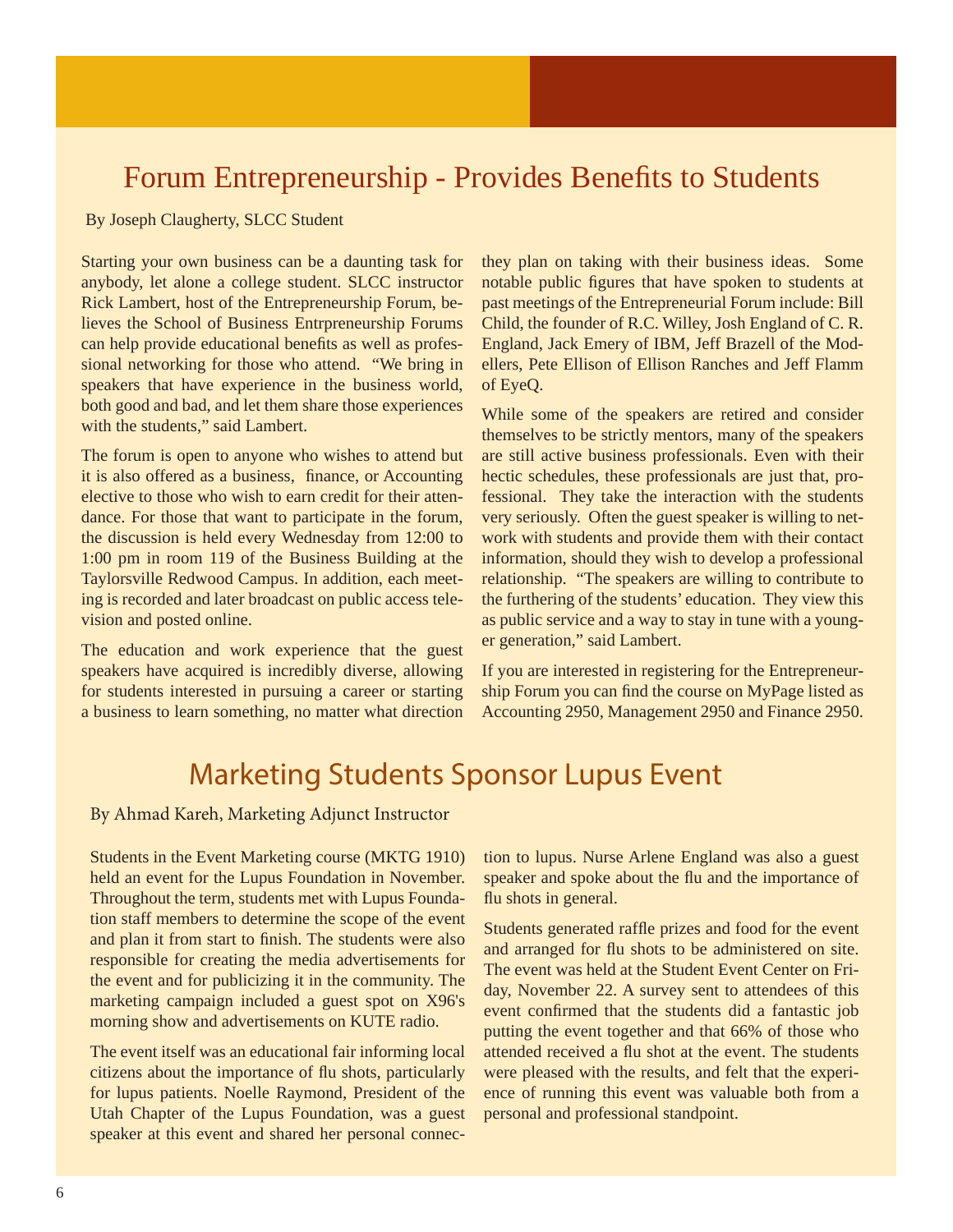#### Forum Entrepreneurship - Provides Benefits to Students

By Joseph Claugherty, SLCC Student

Starting your own business can be a daunting task for anybody, let alone a college student. SLCC instructor Rick Lambert, host of the Entrepreneurship Forum, believes the School of Business Entrpreneurship Forums can help provide educational benefits as well as professional networking for those who attend. "We bring in speakers that have experience in the business world, both good and bad, and let them share those experiences with the students," said Lambert.

The forum is open to anyone who wishes to attend but it is also offered as a business, finance, or Accounting elective to those who wish to earn credit for their attendance. For those that want to participate in the forum, the discussion is held every Wednesday from 12:00 to 1:00 pm in room 119 of the Business Building at the Taylorsville Redwood Campus. In addition, each meeting is recorded and later broadcast on public access television and posted online.

The education and work experience that the guest speakers have acquired is incredibly diverse, allowing for students interested in pursuing a career or starting a business to learn something, no matter what direction

they plan on taking with their business ideas. Some notable public figures that have spoken to students at past meetings of the Entrepreneurial Forum include: Bill Child, the founder of R.C. Willey, Josh England of C. R. England, Jack Emery of IBM, Jeff Brazell of the Modellers, Pete Ellison of Ellison Ranches and Jeff Flamm of EyeQ.

While some of the speakers are retired and consider themselves to be strictly mentors, many of the speakers are still active business professionals. Even with their hectic schedules, these professionals are just that, professional. They take the interaction with the students very seriously. Often the guest speaker is willing to network with students and provide them with their contact information, should they wish to develop a professional relationship. "The speakers are willing to contribute to the furthering of the students' education. They view this as public service and a way to stay in tune with a younger generation," said Lambert.

If you are interested in registering for the Entrepreneurship Forum you can find the course on MyPage listed as Accounting 2950, Management 2950 and Finance 2950.

#### Marketing Students Sponsor Lupus Event

By Ahmad Kareh, Marketing Adjunct Instructor

Students in the Event Marketing course (MKTG 1910) held an event for the Lupus Foundation in November. Throughout the term, students met with Lupus Foundation staff members to determine the scope of the event and plan it from start to finish. The students were also responsible for creating the media advertisements for the event and for publicizing it in the community. The marketing campaign included a guest spot on X96's morning show and advertisements on KUTE radio.

The event itself was an educational fair informing local citizens about the importance of flu shots, particularly for lupus patients. Noelle Raymond, President of the Utah Chapter of the Lupus Foundation, was a guest speaker at this event and shared her personal connection to lupus. Nurse Arlene England was also a guest speaker and spoke about the flu and the importance of flu shots in general.

Students generated raffle prizes and food for the event and arranged for flu shots to be administered on site. The event was held at the Student Event Center on Friday, November 22. A survey sent to attendees of this event confirmed that the students did a fantastic job putting the event together and that 66% of those who attended received a flu shot at the event. The students were pleased with the results, and felt that the experience of running this event was valuable both from a personal and professional standpoint.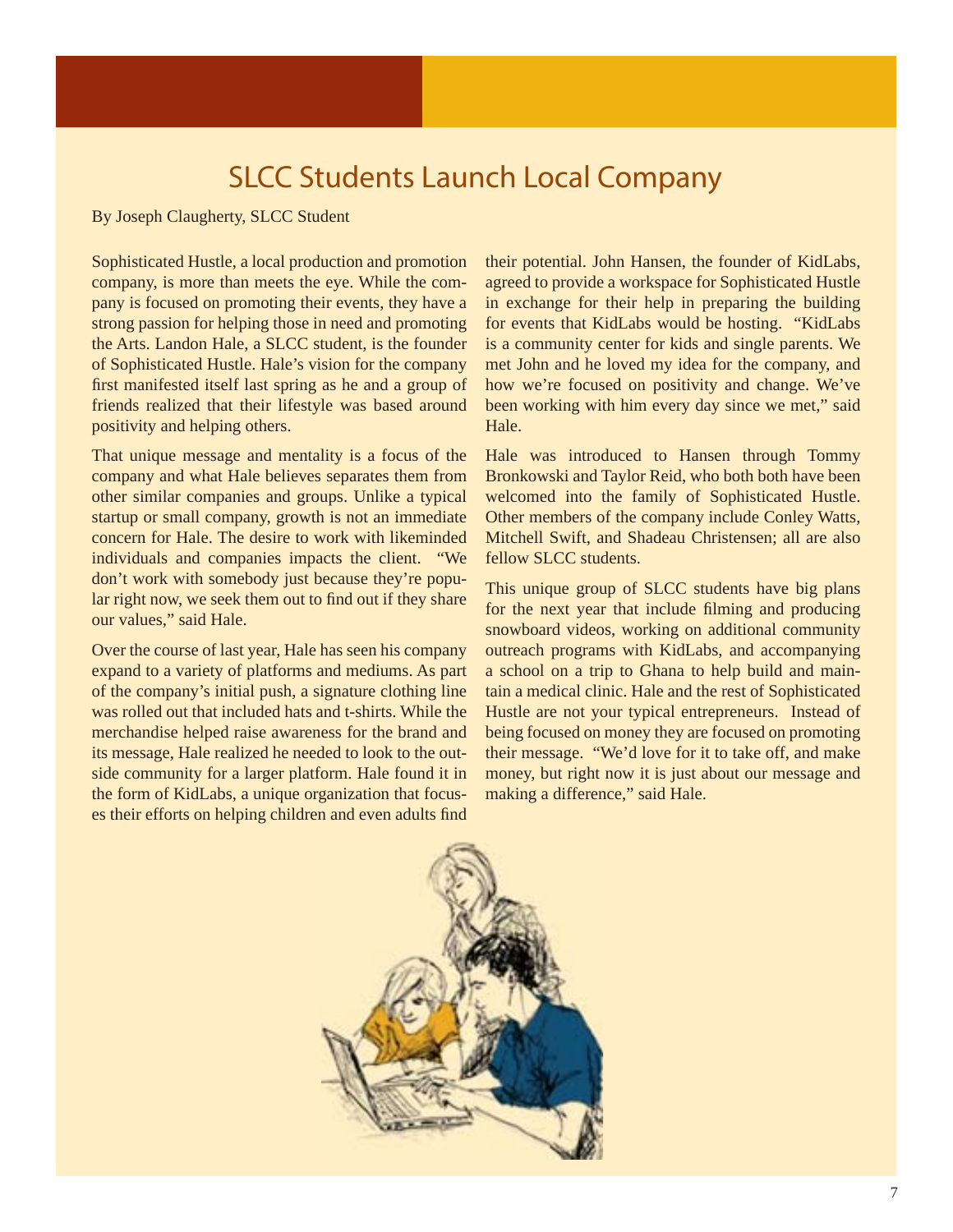#### **SLCC Students Launch Local Company**

By Joseph Claugherty, SLCC Student

I

Sophisticated Hustle, a local production and promotion company, is more than meets the eye. While the company is focused on promoting their events, they have a strong passion for helping those in need and promoting the Arts. Landon Hale, a SLCC student, is the founder of Sophisticated Hustle. Hale's vision for the company first manifested itself last spring as he and a group of friends realized that their lifestyle was based around positivity and helping others.

That unique message and mentality is a focus of the company and what Hale believes separates them from other similar companies and groups. Unlike a typical startup or small company, growth is not an immediate concern for Hale. The desire to work with likeminded individuals and companies impacts the client. "We don't work with somebody just because they're popular right now, we seek them out to find out if they share our values," said Hale.

Over the course of last year, Hale has seen his company expand to a variety of platforms and mediums. As part of the company's initial push, a signature clothing line was rolled out that included hats and t-shirts. While the merchandise helped raise awareness for the brand and its message, Hale realized he needed to look to the outside community for a larger platform. Hale found it in the form of KidLabs, a unique organization that focuses their efforts on helping children and even adults find

their potential. John Hansen, the founder of KidLabs, agreed to provide a workspace for Sophisticated Hustle in exchange for their help in preparing the building for events that KidLabs would be hosting. "KidLabs is a community center for kids and single parents. We met John and he loved my idea for the company, and how we're focused on positivity and change. We've been working with him every day since we met," said Hale.

Hale was introduced to Hansen through Tommy Bronkowski and Taylor Reid, who both both have been welcomed into the family of Sophisticated Hustle. Other members of the company include Conley Watts, Mitchell Swift, and Shadeau Christensen; all are also fellow SLCC students.

This unique group of SLCC students have big plans for the next year that include filming and producing snowboard videos, working on additional community outreach programs with KidLabs, and accompanying a school on a trip to Ghana to help build and maintain a medical clinic. Hale and the rest of Sophisticated Hustle are not your typical entrepreneurs. Instead of being focused on money they are focused on promoting their message. "We'd love for it to take off, and make money, but right now it is just about our message and making a difference," said Hale.